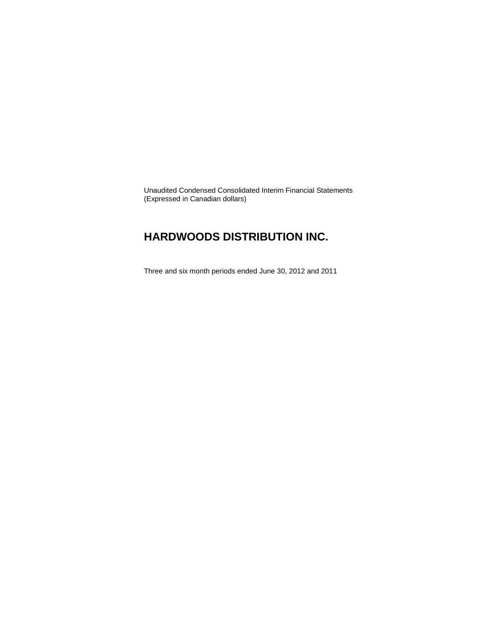Unaudited Condensed Consolidated Interim Financial Statements (Expressed in Canadian dollars)

### **HARDWOODS DISTRIBUTION INC.**

Three and six month periods ended June 30, 2012 and 2011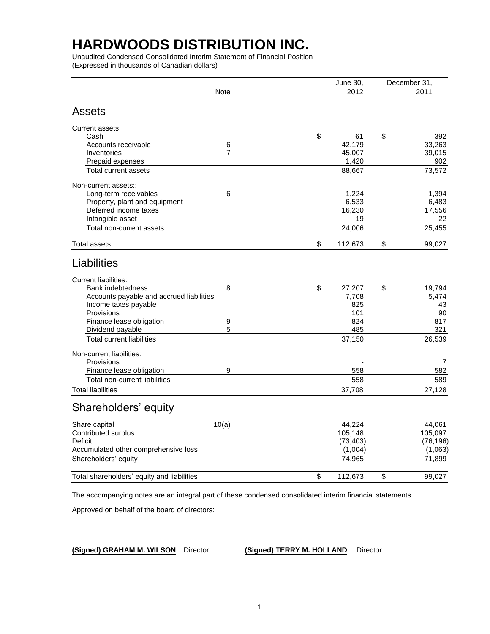Unaudited Condensed Consolidated Interim Statement of Financial Position (Expressed in thousands of Canadian dollars)

| 2012<br><b>Note</b><br><b>Assets</b><br>Current assets:<br>\$<br>\$<br>Cash<br>61<br>Accounts receivable<br>6<br>42,179<br>$\overline{7}$<br>45,007<br>Inventories | 2011<br>392<br>33.263 |
|--------------------------------------------------------------------------------------------------------------------------------------------------------------------|-----------------------|
|                                                                                                                                                                    |                       |
|                                                                                                                                                                    |                       |
|                                                                                                                                                                    |                       |
|                                                                                                                                                                    |                       |
|                                                                                                                                                                    |                       |
|                                                                                                                                                                    | 39,015                |
| 1,420<br>Prepaid expenses                                                                                                                                          | 902                   |
| Total current assets<br>88,667                                                                                                                                     | 73,572                |
| Non-current assets::                                                                                                                                               |                       |
| 6<br>Long-term receivables<br>1,224                                                                                                                                | 1,394                 |
| 6,533<br>Property, plant and equipment                                                                                                                             | 6,483                 |
| Deferred income taxes<br>16,230                                                                                                                                    | 17,556                |
| Intangible asset<br>19                                                                                                                                             | 22                    |
| 24,006<br>Total non-current assets                                                                                                                                 | 25,455                |
| \$<br>\$<br>112,673<br><b>Total assets</b>                                                                                                                         | 99,027                |
| Liabilities                                                                                                                                                        |                       |
| <b>Current liabilities:</b>                                                                                                                                        |                       |
| \$<br>Bank indebtedness<br>8<br>27,207<br>\$                                                                                                                       | 19,794                |
| Accounts payable and accrued liabilities<br>7,708                                                                                                                  | 5,474                 |
| Income taxes payable<br>825                                                                                                                                        | 43                    |
| Provisions<br>101                                                                                                                                                  | 90                    |
| Finance lease obligation<br>$\boldsymbol{9}$<br>824                                                                                                                | 817                   |
| 5<br>Dividend payable<br>485                                                                                                                                       | 321                   |
| <b>Total current liabilities</b><br>37,150                                                                                                                         | 26,539                |
| Non-current liabilities:                                                                                                                                           |                       |
| Provisions                                                                                                                                                         | 7                     |
| 9<br>Finance lease obligation<br>558                                                                                                                               | 582                   |
| Total non-current liabilities<br>558                                                                                                                               | 589                   |
| <b>Total liabilities</b><br>37,708                                                                                                                                 | 27,128                |
| Shareholders' equity                                                                                                                                               |                       |
| 10(a)<br>44,224<br>Share capital                                                                                                                                   | 44,061                |
| Contributed surplus<br>105,148                                                                                                                                     | 105,097               |
| <b>Deficit</b><br>(73, 403)                                                                                                                                        | (76, 196)             |
| (1,004)<br>Accumulated other comprehensive loss                                                                                                                    | (1,063)               |
| Shareholders' equity<br>74,965                                                                                                                                     | 71,899                |
| \$<br>Total shareholders' equity and liabilities<br>\$<br>112,673                                                                                                  | 99,027                |

The accompanying notes are an integral part of these condensed consolidated interim financial statements.

Approved on behalf of the board of directors:

**(Signed) GRAHAM M. WILSON** Director **(Signed) TERRY M. HOLLAND** Director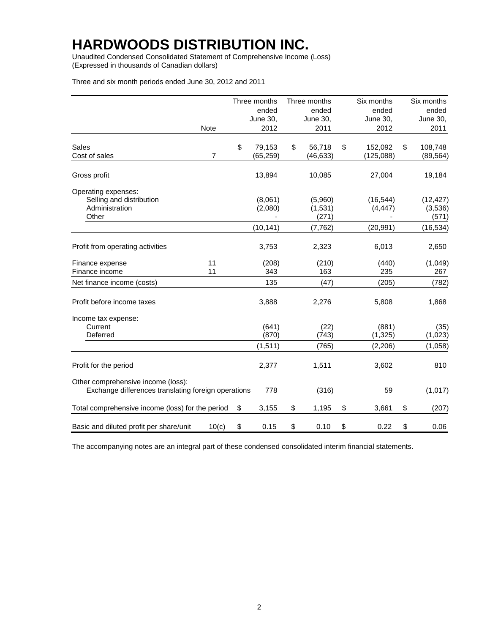Unaudited Condensed Consolidated Statement of Comprehensive Income (Loss) (Expressed in thousands of Canadian dollars)

Three and six month periods ended June 30, 2012 and 2011

|                                                                                           |                | Three months | Three months | Six months    | Six months      |
|-------------------------------------------------------------------------------------------|----------------|--------------|--------------|---------------|-----------------|
|                                                                                           |                | ended        | ended        | ended         | ended           |
|                                                                                           |                | June 30,     | June 30,     | June 30,      | <b>June 30,</b> |
|                                                                                           | Note           | 2012         | 2011         | 2012          | 2011            |
| <b>Sales</b>                                                                              |                | \$<br>79,153 | \$<br>56,718 | \$<br>152,092 | \$<br>108,748   |
| Cost of sales                                                                             | $\overline{7}$ | (65, 259)    | (46, 633)    | (125,088)     | (89, 564)       |
| Gross profit                                                                              |                | 13,894       | 10,085       | 27,004        | 19,184          |
| Operating expenses:                                                                       |                |              |              |               |                 |
| Selling and distribution                                                                  |                | (8,061)      | (5,960)      | (16, 544)     | (12, 427)       |
| Administration                                                                            |                | (2,080)      | (1,531)      | (4, 447)      | (3,536)         |
| Other                                                                                     |                |              | (271)        |               | (571)           |
|                                                                                           |                | (10, 141)    | (7, 762)     | (20, 991)     | (16, 534)       |
| Profit from operating activities                                                          |                | 3,753        | 2,323        | 6,013         | 2,650           |
| Finance expense                                                                           | 11             | (208)        | (210)        | (440)         | (1,049)         |
| Finance income                                                                            | 11             | 343          | 163          | 235           | 267             |
| Net finance income (costs)                                                                |                | 135          | (47)         | (205)         | (782)           |
| Profit before income taxes                                                                |                | 3,888        | 2,276        | 5,808         | 1,868           |
| Income tax expense:                                                                       |                |              |              |               |                 |
| Current                                                                                   |                | (641)        | (22)         | (881)         | (35)            |
| Deferred                                                                                  |                | (870)        | (743)        | (1, 325)      | (1,023)         |
|                                                                                           |                | (1, 511)     | (765)        | (2, 206)      | (1,058)         |
| Profit for the period                                                                     |                | 2,377        | 1,511        | 3,602         | 810             |
| Other comprehensive income (loss):<br>Exchange differences translating foreign operations |                | 778          | (316)        | 59            | (1,017)         |
| Total comprehensive income (loss) for the period                                          |                | \$<br>3,155  | \$<br>1,195  | \$<br>3,661   | \$<br>(207)     |
| Basic and diluted profit per share/unit                                                   | 10(c)          | \$<br>0.15   | \$<br>0.10   | \$<br>0.22    | \$<br>0.06      |

The accompanying notes are an integral part of these condensed consolidated interim financial statements.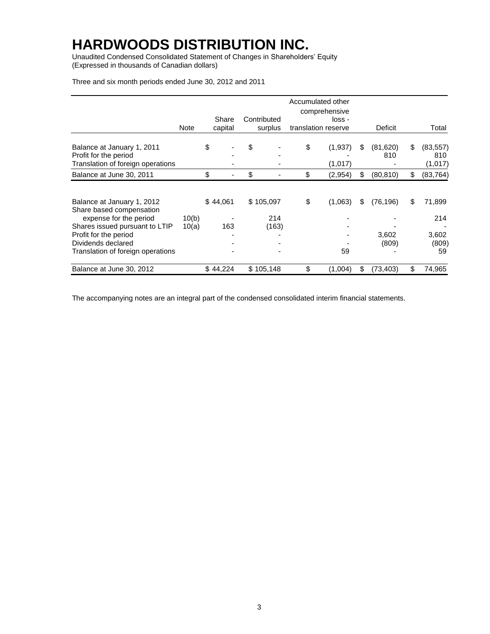Unaudited Condensed Consolidated Statement of Changes in Shareholders' Equity (Expressed in thousands of Canadian dollars)

|                                                                                                                    |             |                  |                        | Accumulated other<br>comprehensive |    |                 |                                   |
|--------------------------------------------------------------------------------------------------------------------|-------------|------------------|------------------------|------------------------------------|----|-----------------|-----------------------------------|
|                                                                                                                    | <b>Note</b> | Share<br>capital | Contributed<br>surplus | loss -<br>translation reserve      |    | Deficit         | Total                             |
| Balance at January 1, 2011<br>Profit for the period<br>Translation of foreign operations                           |             | \$               | \$                     | \$<br>(1,937)<br>(1,017)           | S  | (81,620)<br>810 | \$<br>(83, 557)<br>810<br>(1,017) |
| Balance at June 30, 2011                                                                                           |             | \$               | \$                     | \$<br>(2,954)                      | \$ | (80, 810)       | \$<br>(83, 764)                   |
| Balance at January 1, 2012<br>Share based compensation<br>expense for the period                                   | 10(b)       | \$44,061         | \$105,097<br>214       | \$<br>(1,063)                      | \$ | (76, 196)       | \$<br>71,899<br>214               |
| Shares issued pursuant to LTIP<br>Profit for the period<br>Dividends declared<br>Translation of foreign operations | 10(a)       | 163              | (163)                  | 59                                 |    | 3,602<br>(809)  | 3,602<br>(809)<br>59              |
| Balance at June 30, 2012                                                                                           |             | \$44,224         | \$105,148              | \$<br>(1,004)                      | \$ | (73, 403)       | \$<br>74,965                      |

Three and six month periods ended June 30, 2012 and 2011

The accompanying notes are an integral part of the condensed consolidated interim financial statements.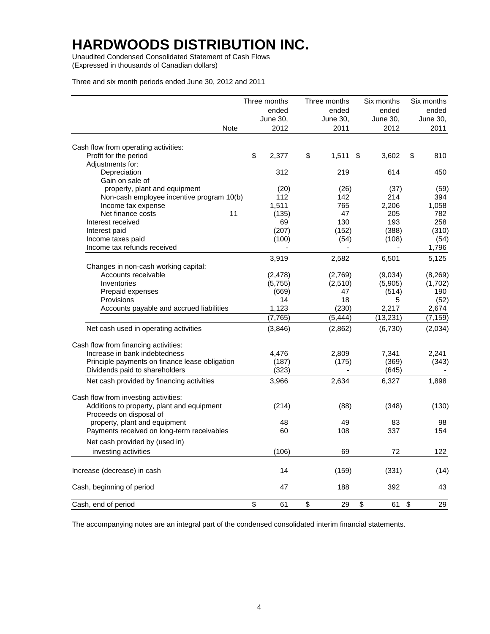Unaudited Condensed Consolidated Statement of Cash Flows (Expressed in thousands of Canadian dollars)

Three and six month periods ended June 30, 2012 and 2011

|                                                                                    | Three months |                         | Three months | Six months  | Six months |
|------------------------------------------------------------------------------------|--------------|-------------------------|--------------|-------------|------------|
|                                                                                    | ended        |                         | ended        | ended       | ended      |
|                                                                                    | June 30,     |                         | June 30,     | June 30,    | June 30,   |
| <b>Note</b>                                                                        | 2012         |                         | 2011         | 2012        | 2011       |
| Cash flow from operating activities:                                               |              |                         |              |             |            |
| Profit for the period                                                              | \$<br>2,377  | \$                      | 1,511        | \$<br>3,602 | \$<br>810  |
| Adjustments for:                                                                   |              |                         |              |             |            |
| Depreciation                                                                       | 312          |                         | 219          | 614         | 450        |
| Gain on sale of                                                                    |              |                         |              |             |            |
| property, plant and equipment                                                      | (20)         |                         | (26)         | (37)        | (59)       |
| Non-cash employee incentive program 10(b)                                          | 112          |                         | 142          | 214         | 394        |
| Income tax expense                                                                 | 1,511        |                         | 765          | 2,206       | 1,058      |
| Net finance costs<br>11                                                            | (135)        |                         | 47           | 205         | 782        |
| Interest received                                                                  | 69           |                         | 130          | 193         | 258        |
| Interest paid                                                                      | (207)        |                         | (152)        | (388)       | (310)      |
| Income taxes paid                                                                  | (100)        |                         | (54)         | (108)       | (54)       |
| Income tax refunds received                                                        |              |                         |              |             | 1,796      |
|                                                                                    | 3,919        |                         | 2,582        | 6,501       | 5,125      |
| Changes in non-cash working capital:                                               |              |                         |              |             |            |
| Accounts receivable                                                                | (2, 478)     |                         | (2,769)      | (9,034)     | (8, 269)   |
| Inventories                                                                        | (5,755)      |                         | (2,510)      | (5,905)     | (1,702)    |
| Prepaid expenses                                                                   | (669)        |                         | 47           | (514)       | 190        |
| Provisions                                                                         | 14           |                         | 18           | 5           | (52)       |
| Accounts payable and accrued liabilities                                           | 1,123        |                         | (230)        | 2,217       | 2,674      |
|                                                                                    | (7, 765)     |                         | (5, 444)     | (13, 231)   | (7, 159)   |
| Net cash used in operating activities                                              | (3,846)      |                         | (2,862)      | (6,730)     | (2,034)    |
| Cash flow from financing activities:                                               |              |                         |              |             |            |
| Increase in bank indebtedness                                                      | 4,476        |                         | 2,809        | 7,341       | 2,241      |
| Principle payments on finance lease obligation                                     | (187)        |                         | (175)        | (369)       | (343)      |
| Dividends paid to shareholders                                                     | (323)        |                         |              | (645)       |            |
| Net cash provided by financing activities                                          | 3,966        |                         | 2,634        | 6,327       | 1,898      |
|                                                                                    |              |                         |              |             |            |
| Cash flow from investing activities:<br>Additions to property, plant and equipment |              |                         |              |             |            |
| Proceeds on disposal of                                                            | (214)        |                         | (88)         | (348)       | (130)      |
| property, plant and equipment                                                      | 48           |                         | 49           | 83          | 98         |
| Payments received on long-term receivables                                         | 60           |                         | 108          | 337         | 154        |
|                                                                                    |              |                         |              |             |            |
| Net cash provided by (used in)                                                     |              |                         |              |             |            |
| investing activities                                                               | (106)        |                         | 69           | 72          | 122        |
| Increase (decrease) in cash                                                        | 14           |                         | (159)        | (331)       | (14)       |
| Cash, beginning of period                                                          | 47           |                         | 188          | 392         | 43         |
| Cash, end of period                                                                | \$<br>61     | $\overline{\mathbf{e}}$ | 29           | \$<br>61    | \$<br>29   |

The accompanying notes are an integral part of the condensed consolidated interim financial statements.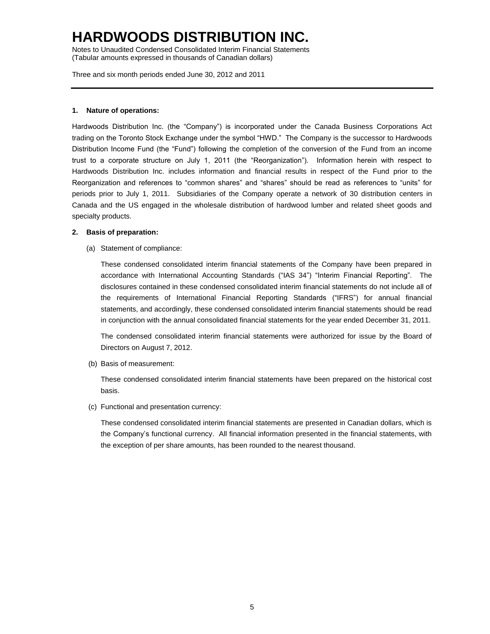Notes to Unaudited Condensed Consolidated Interim Financial Statements (Tabular amounts expressed in thousands of Canadian dollars)

Three and six month periods ended June 30, 2012 and 2011

### **1. Nature of operations:**

Hardwoods Distribution Inc. (the "Company") is incorporated under the Canada Business Corporations Act trading on the Toronto Stock Exchange under the symbol "HWD." The Company is the successor to Hardwoods Distribution Income Fund (the "Fund") following the completion of the conversion of the Fund from an income trust to a corporate structure on July 1, 2011 (the "Reorganization"). Information herein with respect to Hardwoods Distribution Inc. includes information and financial results in respect of the Fund prior to the Reorganization and references to "common shares" and "shares" should be read as references to "units" for periods prior to July 1, 2011. Subsidiaries of the Company operate a network of 30 distribution centers in Canada and the US engaged in the wholesale distribution of hardwood lumber and related sheet goods and specialty products.

### **2. Basis of preparation:**

(a) Statement of compliance:

These condensed consolidated interim financial statements of the Company have been prepared in accordance with International Accounting Standards ("IAS 34") "Interim Financial Reporting". The disclosures contained in these condensed consolidated interim financial statements do not include all of the requirements of International Financial Reporting Standards ("IFRS") for annual financial statements, and accordingly, these condensed consolidated interim financial statements should be read in conjunction with the annual consolidated financial statements for the year ended December 31, 2011.

The condensed consolidated interim financial statements were authorized for issue by the Board of Directors on August 7, 2012.

(b) Basis of measurement:

These condensed consolidated interim financial statements have been prepared on the historical cost basis.

(c) Functional and presentation currency:

These condensed consolidated interim financial statements are presented in Canadian dollars, which is the Company's functional currency. All financial information presented in the financial statements, with the exception of per share amounts, has been rounded to the nearest thousand.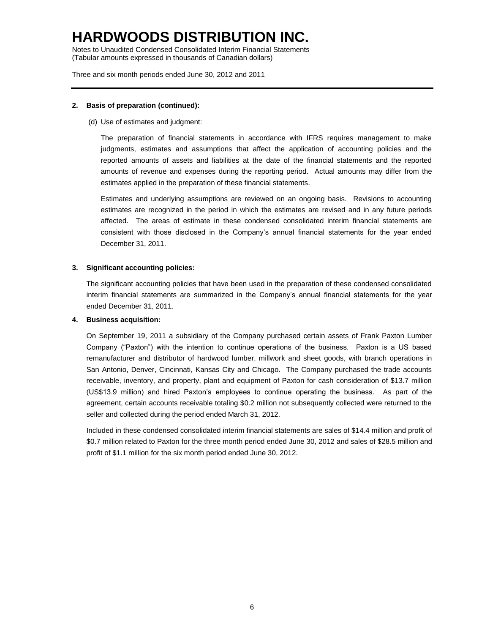Notes to Unaudited Condensed Consolidated Interim Financial Statements (Tabular amounts expressed in thousands of Canadian dollars)

Three and six month periods ended June 30, 2012 and 2011

### **2. Basis of preparation (continued):**

(d) Use of estimates and judgment:

The preparation of financial statements in accordance with IFRS requires management to make judgments, estimates and assumptions that affect the application of accounting policies and the reported amounts of assets and liabilities at the date of the financial statements and the reported amounts of revenue and expenses during the reporting period. Actual amounts may differ from the estimates applied in the preparation of these financial statements.

Estimates and underlying assumptions are reviewed on an ongoing basis. Revisions to accounting estimates are recognized in the period in which the estimates are revised and in any future periods affected. The areas of estimate in these condensed consolidated interim financial statements are consistent with those disclosed in the Company's annual financial statements for the year ended December 31, 2011.

### **3. Significant accounting policies:**

The significant accounting policies that have been used in the preparation of these condensed consolidated interim financial statements are summarized in the Company's annual financial statements for the year ended December 31, 2011.

### **4. Business acquisition:**

On September 19, 2011 a subsidiary of the Company purchased certain assets of Frank Paxton Lumber Company ("Paxton") with the intention to continue operations of the business. Paxton is a US based remanufacturer and distributor of hardwood lumber, millwork and sheet goods, with branch operations in San Antonio, Denver, Cincinnati, Kansas City and Chicago. The Company purchased the trade accounts receivable, inventory, and property, plant and equipment of Paxton for cash consideration of \$13.7 million (US\$13.9 million) and hired Paxton's employees to continue operating the business. As part of the agreement, certain accounts receivable totaling \$0.2 million not subsequently collected were returned to the seller and collected during the period ended March 31, 2012.

Included in these condensed consolidated interim financial statements are sales of \$14.4 million and profit of \$0.7 million related to Paxton for the three month period ended June 30, 2012 and sales of \$28.5 million and profit of \$1.1 million for the six month period ended June 30, 2012.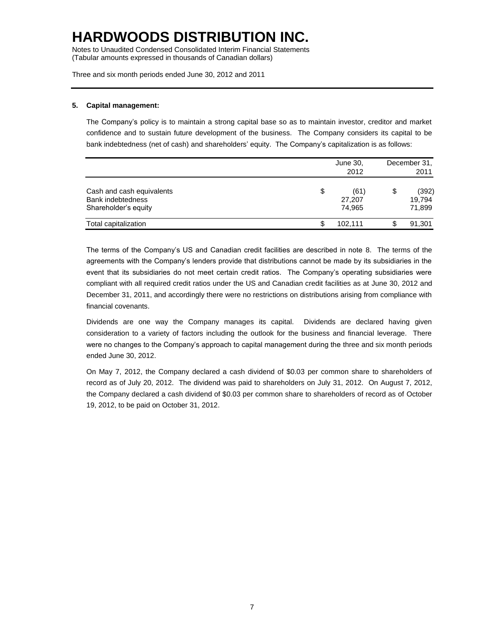Notes to Unaudited Condensed Consolidated Interim Financial Statements (Tabular amounts expressed in thousands of Canadian dollars)

Three and six month periods ended June 30, 2012 and 2011

### **5. Capital management:**

The Company's policy is to maintain a strong capital base so as to maintain investor, creditor and market confidence and to sustain future development of the business. The Company considers its capital to be bank indebtedness (net of cash) and shareholders' equity. The Company's capitalization is as follows:

|                                                                               | June 30,<br>2012               | December 31,<br>2011 |                           |  |
|-------------------------------------------------------------------------------|--------------------------------|----------------------|---------------------------|--|
| Cash and cash equivalents<br><b>Bank indebtedness</b><br>Shareholder's equity | \$<br>(61)<br>27,207<br>74.965 | \$                   | (392)<br>19.794<br>71,899 |  |
| Total capitalization                                                          | 102.111                        | S                    | 91,301                    |  |

The terms of the Company's US and Canadian credit facilities are described in note 8. The terms of the agreements with the Company's lenders provide that distributions cannot be made by its subsidiaries in the event that its subsidiaries do not meet certain credit ratios. The Company's operating subsidiaries were compliant with all required credit ratios under the US and Canadian credit facilities as at June 30, 2012 and December 31, 2011, and accordingly there were no restrictions on distributions arising from compliance with financial covenants.

Dividends are one way the Company manages its capital. Dividends are declared having given consideration to a variety of factors including the outlook for the business and financial leverage. There were no changes to the Company's approach to capital management during the three and six month periods ended June 30, 2012.

On May 7, 2012, the Company declared a cash dividend of \$0.03 per common share to shareholders of record as of July 20, 2012. The dividend was paid to shareholders on July 31, 2012. On August 7, 2012, the Company declared a cash dividend of \$0.03 per common share to shareholders of record as of October 19, 2012, to be paid on October 31, 2012.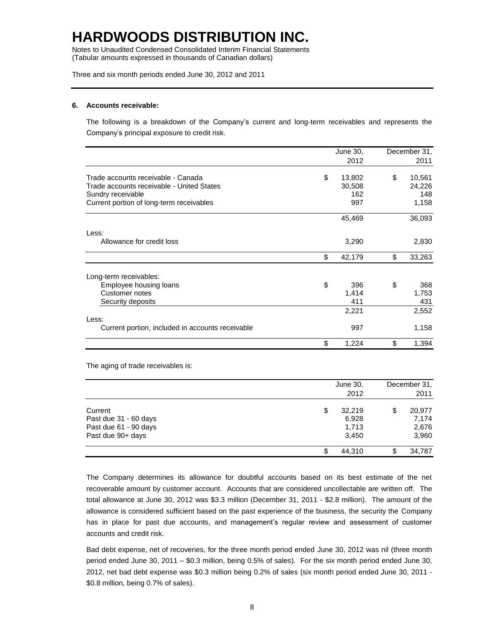Notes to Unaudited Condensed Consolidated Interim Financial Statements (Tabular amounts expressed in thousands of Canadian dollars)

Three and six month periods ended June 30, 2012 and 2011

#### **6. Accounts receivable:**

The following is a breakdown of the Company's current and long-term receivables and represents the Company's principal exposure to credit risk.

|                                                  | June 30,     | December 31, |        |
|--------------------------------------------------|--------------|--------------|--------|
|                                                  | 2012         |              | 2011   |
| Trade accounts receivable - Canada               | \$<br>13,802 | \$           | 10,561 |
| Trade accounts receivable - United States        | 30,508       |              | 24,226 |
| Sundry receivable                                | 162          |              | 148    |
| Current portion of long-term receivables         | 997          |              | 1,158  |
|                                                  | 45,469       |              | 36,093 |
| Less:                                            |              |              |        |
| Allowance for credit loss                        | 3,290        |              | 2,830  |
|                                                  | \$<br>42,179 | \$           | 33,263 |
| Long-term receivables:                           |              |              |        |
| Employee housing loans                           | \$<br>396    | \$           | 368    |
| Customer notes                                   | 1,414        |              | 1,753  |
| Security deposits                                | 411          |              | 431    |
|                                                  | 2,221        |              | 2,552  |
| Less:                                            |              |              |        |
| Current portion, included in accounts receivable | 997          |              | 1,158  |
|                                                  | \$<br>1,224  | \$           | 1,394  |

The aging of trade receivables is:

|                                                                                |    | June 30,<br>2012                  |    |                                   |  |  |
|--------------------------------------------------------------------------------|----|-----------------------------------|----|-----------------------------------|--|--|
| Current<br>Past due 31 - 60 days<br>Past due 61 - 90 days<br>Past due 90+ days | \$ | 32,219<br>6,928<br>1,713<br>3,450 | \$ | 20,977<br>7.174<br>2,676<br>3,960 |  |  |
|                                                                                | S  | 44.310                            | \$ | 34,787                            |  |  |

The Company determines its allowance for doubtful accounts based on its best estimate of the net recoverable amount by customer account. Accounts that are considered uncollectable are written off. The total allowance at June 30, 2012 was \$3.3 million (December 31, 2011 - \$2.8 million). The amount of the allowance is considered sufficient based on the past experience of the business, the security the Company has in place for past due accounts, and management's regular review and assessment of customer accounts and credit risk.

Bad debt expense, net of recoveries, for the three month period ended June 30, 2012 was nil (three month period ended June 30, 2011 – \$0.3 million, being 0.5% of sales). For the six month period ended June 30, 2012, net bad debt expense was \$0.3 million being 0.2% of sales (six month period ended June 30, 2011 - \$0.8 million, being 0.7% of sales).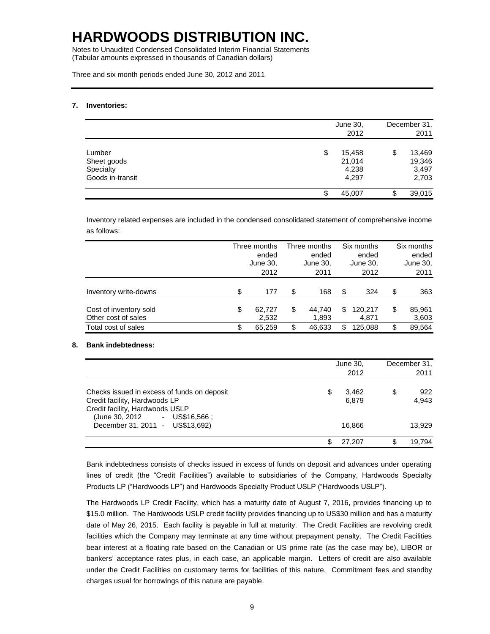Notes to Unaudited Condensed Consolidated Interim Financial Statements (Tabular amounts expressed in thousands of Canadian dollars)

Three and six month periods ended June 30, 2012 and 2011

#### **7. Inventories:**

|                                                        |    | June 30,<br>2012                   |    |                                    |  |  |  |
|--------------------------------------------------------|----|------------------------------------|----|------------------------------------|--|--|--|
| Lumber<br>Sheet goods<br>Specialty<br>Goods in-transit | \$ | 15,458<br>21,014<br>4,238<br>4,297 | \$ | 13,469<br>19,346<br>3,497<br>2,703 |  |  |  |
|                                                        | S  | 45,007                             | \$ | 39,015                             |  |  |  |

Inventory related expenses are included in the condensed consolidated statement of comprehensive income as follows:

|                                               | Three months<br>ended<br>June 30,<br>2012 | Three months<br>ended<br>June 30,<br>2011 |                 | Six months<br>ended<br>June 30,<br>2012 |                  | Six months<br>ended<br>June 30,<br>2011 |                 |
|-----------------------------------------------|-------------------------------------------|-------------------------------------------|-----------------|-----------------------------------------|------------------|-----------------------------------------|-----------------|
| Inventory write-downs                         | \$<br>177                                 | \$                                        | 168             | S                                       | 324              | \$                                      | 363             |
| Cost of inventory sold<br>Other cost of sales | \$<br>62.727<br>2,532                     | \$                                        | 44.740<br>1,893 | \$.                                     | 120,217<br>4.871 | \$                                      | 85,961<br>3,603 |
| Total cost of sales                           | \$<br>65.259                              | \$                                        | 46,633          | S.                                      | 125.088          | \$                                      | 89,564          |

### **8. Bank indebtedness:**

|                                                                                                                                                 | June 30, | December 31,<br>2011 |                    |
|-------------------------------------------------------------------------------------------------------------------------------------------------|----------|----------------------|--------------------|
| Checks issued in excess of funds on deposit<br>Credit facility, Hardwoods LP<br>Credit facility, Hardwoods USLP<br>(June 30, 2012 - US\$16,566; | S        | 3.462<br>6.879       | \$<br>922<br>4.943 |
| December 31, 2011 - US\$13,692)                                                                                                                 |          | 16,866               | 13.929             |
|                                                                                                                                                 |          | 27.207               | \$<br>19.794       |

Bank indebtedness consists of checks issued in excess of funds on deposit and advances under operating lines of credit (the "Credit Facilities") available to subsidiaries of the Company, Hardwoods Specialty Products LP ("Hardwoods LP") and Hardwoods Specialty Product USLP ("Hardwoods USLP").

The Hardwoods LP Credit Facility, which has a maturity date of August 7, 2016, provides financing up to \$15.0 million. The Hardwoods USLP credit facility provides financing up to US\$30 million and has a maturity date of May 26, 2015. Each facility is payable in full at maturity. The Credit Facilities are revolving credit facilities which the Company may terminate at any time without prepayment penalty. The Credit Facilities bear interest at a floating rate based on the Canadian or US prime rate (as the case may be), LIBOR or bankers' acceptance rates plus, in each case, an applicable margin. Letters of credit are also available under the Credit Facilities on customary terms for facilities of this nature. Commitment fees and standby charges usual for borrowings of this nature are payable.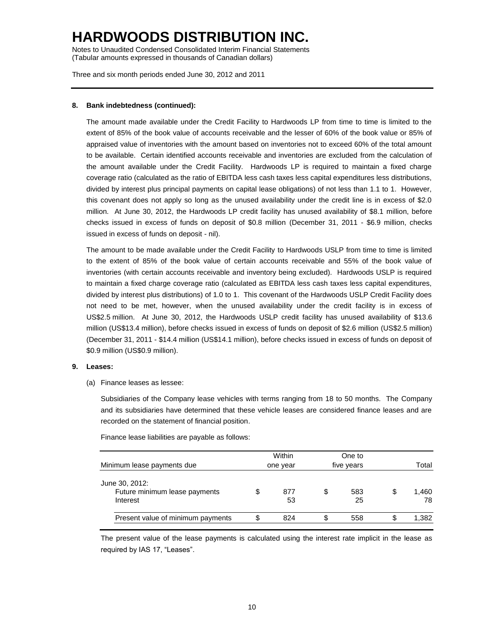Notes to Unaudited Condensed Consolidated Interim Financial Statements (Tabular amounts expressed in thousands of Canadian dollars)

Three and six month periods ended June 30, 2012 and 2011

### **8. Bank indebtedness (continued):**

The amount made available under the Credit Facility to Hardwoods LP from time to time is limited to the extent of 85% of the book value of accounts receivable and the lesser of 60% of the book value or 85% of appraised value of inventories with the amount based on inventories not to exceed 60% of the total amount to be available. Certain identified accounts receivable and inventories are excluded from the calculation of the amount available under the Credit Facility. Hardwoods LP is required to maintain a fixed charge coverage ratio (calculated as the ratio of EBITDA less cash taxes less capital expenditures less distributions, divided by interest plus principal payments on capital lease obligations) of not less than 1.1 to 1. However, this covenant does not apply so long as the unused availability under the credit line is in excess of \$2.0 million. At June 30, 2012, the Hardwoods LP credit facility has unused availability of \$8.1 million, before checks issued in excess of funds on deposit of \$0.8 million (December 31, 2011 - \$6.9 million, checks issued in excess of funds on deposit - nil).

The amount to be made available under the Credit Facility to Hardwoods USLP from time to time is limited to the extent of 85% of the book value of certain accounts receivable and 55% of the book value of inventories (with certain accounts receivable and inventory being excluded). Hardwoods USLP is required to maintain a fixed charge coverage ratio (calculated as EBITDA less cash taxes less capital expenditures, divided by interest plus distributions) of 1.0 to 1. This covenant of the Hardwoods USLP Credit Facility does not need to be met, however, when the unused availability under the credit facility is in excess of US\$2.5 million. At June 30, 2012, the Hardwoods USLP credit facility has unused availability of \$13.6 million (US\$13.4 million), before checks issued in excess of funds on deposit of \$2.6 million (US\$2.5 million) (December 31, 2011 - \$14.4 million (US\$14.1 million), before checks issued in excess of funds on deposit of \$0.9 million (US\$0.9 million).

#### **9. Leases:**

(a) Finance leases as lessee:

Subsidiaries of the Company lease vehicles with terms ranging from 18 to 50 months. The Company and its subsidiaries have determined that these vehicle leases are considered finance leases and are recorded on the statement of financial position.

Finance lease liabilities are payable as follows:

| Minimum lease payments due                                  | Within<br>one year |           |    | One to<br>five years | Total             |
|-------------------------------------------------------------|--------------------|-----------|----|----------------------|-------------------|
| June 30, 2012:<br>Future minimum lease payments<br>Interest |                    | 877<br>53 | \$ | 583<br>25            | \$<br>1.460<br>78 |
| Present value of minimum payments                           |                    | 824       | \$ | 558                  | \$<br>1,382       |

The present value of the lease payments is calculated using the interest rate implicit in the lease as required by IAS 17, "Leases".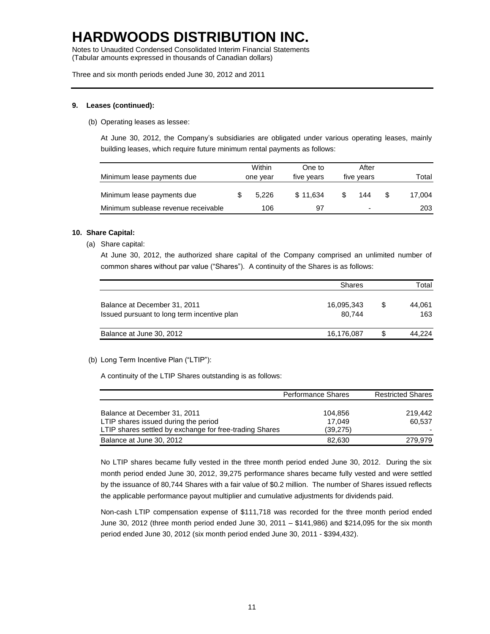Notes to Unaudited Condensed Consolidated Interim Financial Statements (Tabular amounts expressed in thousands of Canadian dollars)

Three and six month periods ended June 30, 2012 and 2011

### **9. Leases (continued):**

(b) Operating leases as lessee:

At June 30, 2012, the Company's subsidiaries are obligated under various operating leases, mainly building leases, which require future minimum rental payments as follows:

| Minimum lease payments due          | Within<br>one year |       | One to<br>five years | After<br>five years |     | Total  |
|-------------------------------------|--------------------|-------|----------------------|---------------------|-----|--------|
| Minimum lease payments due          |                    | 5.226 | \$11.634             |                     | 144 | 17.004 |
| Minimum sublease revenue receivable |                    | 106   |                      |                     | -   | 203    |

### **10. Share Capital:**

(a) Share capital:

At June 30, 2012, the authorized share capital of the Company comprised an unlimited number of common shares without par value ("Shares"). A continuity of the Shares is as follows:

|                                                                             | <b>Shares</b>        |     | Total         |  |  |
|-----------------------------------------------------------------------------|----------------------|-----|---------------|--|--|
| Balance at December 31, 2011<br>Issued pursuant to long term incentive plan | 16,095,343<br>80.744 | \$. | 44.061<br>163 |  |  |
| Balance at June 30, 2012                                                    | 16,176,087           | S   | 44.224        |  |  |

(b) Long Term Incentive Plan ("LTIP"):

A continuity of the LTIP Shares outstanding is as follows:

|                                                         | <b>Performance Shares</b> | <b>Restricted Shares</b> |
|---------------------------------------------------------|---------------------------|--------------------------|
|                                                         |                           |                          |
| Balance at December 31, 2011                            | 104.856                   | 219.442                  |
| LTIP shares issued during the period                    | 17.049                    | 60.537                   |
| LTIP shares settled by exchange for free-trading Shares | (39, 275)                 |                          |
| Balance at June 30, 2012                                | 82.630                    | 279.979                  |

No LTIP shares became fully vested in the three month period ended June 30, 2012. During the six month period ended June 30, 2012, 39,275 performance shares became fully vested and were settled by the issuance of 80,744 Shares with a fair value of \$0.2 million. The number of Shares issued reflects the applicable performance payout multiplier and cumulative adjustments for dividends paid.

Non-cash LTIP compensation expense of \$111,718 was recorded for the three month period ended June 30, 2012 (three month period ended June 30, 2011 – \$141,986) and \$214,095 for the six month period ended June 30, 2012 (six month period ended June 30, 2011 - \$394,432).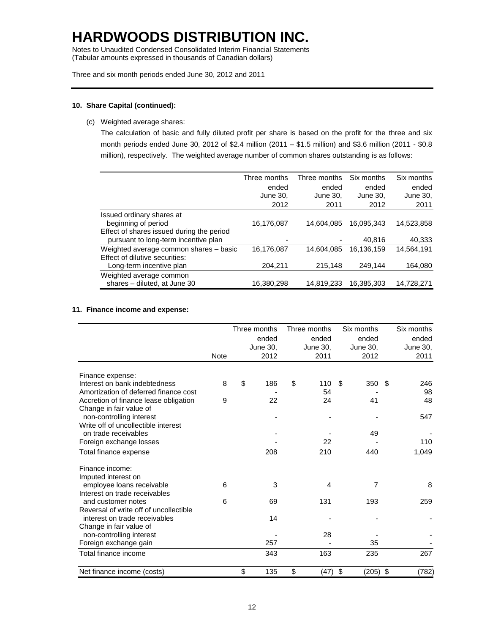Notes to Unaudited Condensed Consolidated Interim Financial Statements (Tabular amounts expressed in thousands of Canadian dollars)

Three and six month periods ended June 30, 2012 and 2011

### **10. Share Capital (continued):**

(c) Weighted average shares:

The calculation of basic and fully diluted profit per share is based on the profit for the three and six month periods ended June 30, 2012 of \$2.4 million (2011 – \$1.5 million) and \$3.6 million (2011 - \$0.8 million), respectively. The weighted average number of common shares outstanding is as follows:

|                                           | Three months | Three months | Six months | Six months |
|-------------------------------------------|--------------|--------------|------------|------------|
|                                           | ended        | ended        | ended      | ended      |
|                                           | June 30.     | June 30,     | June 30.   | June 30,   |
|                                           | 2012         | 2011         | 2012       | 2011       |
| Issued ordinary shares at                 |              |              |            |            |
| beginning of period                       | 16,176,087   | 14.604.085   | 16.095.343 | 14.523.858 |
| Effect of shares issued during the period |              |              |            |            |
| pursuant to long-term incentive plan      |              |              | 40.816     | 40,333     |
| Weighted average common shares - basic    | 16,176,087   | 14.604.085   | 16.136.159 | 14,564,191 |
| Effect of dilutive securities:            |              |              |            |            |
| Long-term incentive plan                  | 204.211      | 215.148      | 249,144    | 164,080    |
| Weighted average common                   |              |              |            |            |
| shares - diluted, at June 30              | 16,380,298   | 14,819,233   | 16.385.303 | 14,728,271 |

### **11. Finance income and expense:**

|                                        |      | Three months |          |    | Three months |    | Six months |    | Six months |
|----------------------------------------|------|--------------|----------|----|--------------|----|------------|----|------------|
|                                        |      |              | ended    |    | ended        |    | ended      |    | ended      |
|                                        |      |              | June 30, |    | June 30,     |    | June 30,   |    | June 30,   |
|                                        | Note |              | 2012     |    | 2011         |    | 2012       |    | 2011       |
| Finance expense:                       |      |              |          |    |              |    |            |    |            |
| Interest on bank indebtedness          | 8    | \$           | 186      | \$ | 110          | \$ | 350        | \$ | 246        |
| Amortization of deferred finance cost  |      |              |          |    | 54           |    |            |    | 98         |
| Accretion of finance lease obligation  | 9    |              | 22       |    | 24           |    | 41         |    | 48         |
| Change in fair value of                |      |              |          |    |              |    |            |    |            |
| non-controlling interest               |      |              |          |    |              |    |            |    | 547        |
| Write off of uncollectible interest    |      |              |          |    |              |    |            |    |            |
| on trade receivables                   |      |              |          |    |              |    | 49         |    |            |
| Foreign exchange losses                |      |              |          |    | 22           |    |            |    | 110        |
| Total finance expense                  |      |              | 208      |    | 210          |    | 440        |    | 1,049      |
| Finance income:                        |      |              |          |    |              |    |            |    |            |
| Imputed interest on                    |      |              |          |    |              |    |            |    |            |
| employee loans receivable              | 6    |              | 3        |    | 4            |    | 7          |    | 8          |
| Interest on trade receivables          |      |              |          |    |              |    |            |    |            |
| and customer notes                     | 6    |              | 69       |    | 131          |    | 193        |    | 259        |
| Reversal of write off of uncollectible |      |              |          |    |              |    |            |    |            |
| interest on trade receivables          |      |              | 14       |    |              |    |            |    |            |
| Change in fair value of                |      |              |          |    |              |    |            |    |            |
| non-controlling interest               |      |              |          |    | 28           |    |            |    |            |
| Foreign exchange gain                  |      |              | 257      |    |              |    | 35         |    |            |
| Total finance income                   |      |              | 343      |    | 163          |    | 235        |    | 267        |
| Net finance income (costs)             |      | \$           | 135      | \$ | (47)         | \$ | $(205)$ \$ |    | (782)      |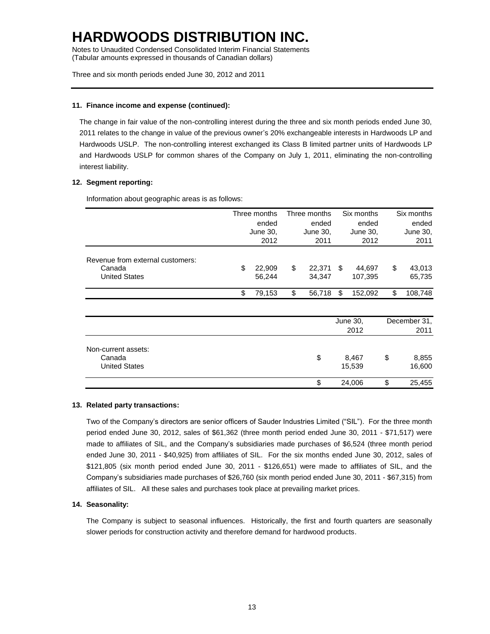Notes to Unaudited Condensed Consolidated Interim Financial Statements (Tabular amounts expressed in thousands of Canadian dollars)

Three and six month periods ended June 30, 2012 and 2011

### **11. Finance income and expense (continued):**

The change in fair value of the non-controlling interest during the three and six month periods ended June 30, 2011 relates to the change in value of the previous owner's 20% exchangeable interests in Hardwoods LP and Hardwoods USLP. The non-controlling interest exchanged its Class B limited partner units of Hardwoods LP and Hardwoods USLP for common shares of the Company on July 1, 2011, eliminating the non-controlling interest liability.

### **12. Segment reporting:**

Information about geographic areas is as follows:

|                                  |                           | Three months | Three months              |        | Six months                |                 | Six months        |                 |
|----------------------------------|---------------------------|--------------|---------------------------|--------|---------------------------|-----------------|-------------------|-----------------|
|                                  | ended<br>June 30,<br>2012 |              | ended<br>June 30,<br>2011 |        | ended<br>June 30,<br>2012 |                 | ended<br>June 30, |                 |
|                                  |                           |              |                           |        |                           |                 |                   |                 |
|                                  |                           |              |                           |        |                           |                 |                   | 2011            |
| Revenue from external customers: |                           |              |                           |        |                           |                 |                   |                 |
| Canada                           | \$                        | 22,909       | \$                        | 22,371 | \$                        | 44,697          | \$                | 43,013          |
| <b>United States</b>             |                           | 56,244       |                           | 34,347 |                           | 107,395         |                   | 65,735          |
|                                  | \$                        | 79,153       | \$                        | 56,718 | \$                        | 152,092         | \$                | 108,748         |
|                                  |                           |              |                           |        |                           |                 |                   |                 |
|                                  |                           |              |                           |        | June 30,<br>2012          |                 |                   | December 31,    |
|                                  |                           |              |                           |        |                           |                 |                   | 2011            |
| Non-current assets:              |                           |              |                           |        |                           |                 |                   |                 |
| Canada<br><b>United States</b>   |                           |              |                           | \$     |                           | 8,467<br>15,539 | \$                | 8,855<br>16,600 |

### **13. Related party transactions:**

Two of the Company's directors are senior officers of Sauder Industries Limited ("SIL"). For the three month period ended June 30, 2012, sales of \$61,362 (three month period ended June 30, 2011 - \$71,517) were made to affiliates of SIL, and the Company's subsidiaries made purchases of \$6,524 (three month period ended June 30, 2011 - \$40,925) from affiliates of SIL. For the six months ended June 30, 2012, sales of \$121,805 (six month period ended June 30, 2011 - \$126,651) were made to affiliates of SIL, and the Company's subsidiaries made purchases of \$26,760 (six month period ended June 30, 2011 - \$67,315) from affiliates of SIL. All these sales and purchases took place at prevailing market prices.

\$ 24,006 \$ 25,455

### **14. Seasonality:**

The Company is subject to seasonal influences. Historically, the first and fourth quarters are seasonally slower periods for construction activity and therefore demand for hardwood products.